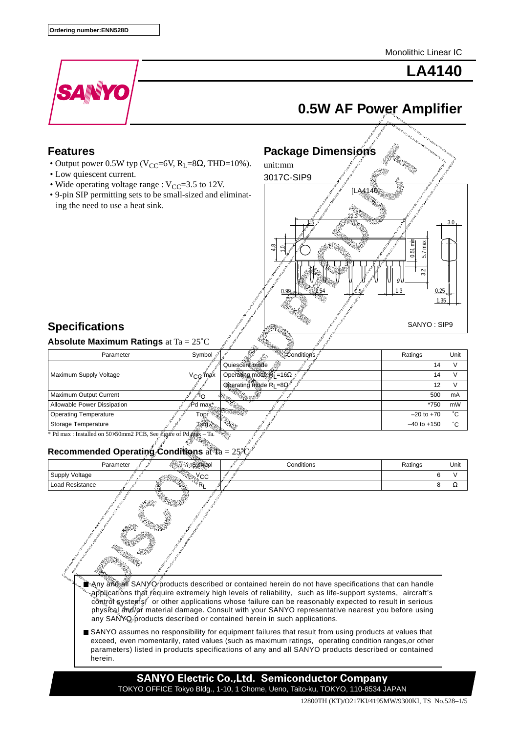Monolithic Linear IC



**LA4140**

# **0.5W AF Power Amplifier**

### **Features**

- Output power 0.5W typ ( $V_{CC}$ =6V,  $R_L$ =8 $\Omega$ , THD=10%).
- Low quiescent current.
- Wide operating voltage range :  $V_{CC}$ =3.5 to 12V.
- 9-pin SIP permitting sets to be small-sized and eliminating the need to use a heat sink.



## **Specifications**

## **Absolute Maximum Ratings** at Ta = 25˚C

| Parameter                                                        | Symbol              | <b>POSSIBLE MARK</b>               | Ratings         | Unit |  |
|------------------------------------------------------------------|---------------------|------------------------------------|-----------------|------|--|
| Maximum Supply Voltage                                           |                     | Quiescent mode                     | 14              |      |  |
|                                                                  | ∨ <sub>CC</sub> max | Operating mode R <sub>L</sub> =16Ω | 14              |      |  |
|                                                                  |                     | Operating mode $R_1 = 8\Omega$     | 12              |      |  |
| Maximum Output Current                                           |                     | <b>Region</b>                      | 500             | mA   |  |
| Allowable Power Dissipation                                      | <i></i> Pd max*     |                                    | *750            | mW   |  |
| <b>Operating Temperature</b>                                     | Topr                |                                    | $-20$ to $+70$  | °С   |  |
| Storage Temperature                                              |                     |                                    | $-40$ to $+150$ | °С   |  |
| * Pd max : Installed on 50×50mm2 PCB, See figure of Pd max – Ta. |                     |                                    |                 |      |  |

# **Recommended Operating Conditions** at Ta = 25˚C

| Parameter              | Symbol | Conditions                                                                                                                                                                                                                                                                                                                                                                                                                                                                                                     | Ratings | Unit |
|------------------------|--------|----------------------------------------------------------------------------------------------------------------------------------------------------------------------------------------------------------------------------------------------------------------------------------------------------------------------------------------------------------------------------------------------------------------------------------------------------------------------------------------------------------------|---------|------|
| Supply Voltage         | Усс    |                                                                                                                                                                                                                                                                                                                                                                                                                                                                                                                | 6       | V    |
| <b>Load Resistance</b> |        |                                                                                                                                                                                                                                                                                                                                                                                                                                                                                                                | 8       | Ω    |
|                        |        | <b>Any and all SANYO</b> products described or contained herein do not have specifications that can handle<br>applications that require extremely high levels of reliability, such as life-support systems, aircraft's "<br>control systems, or other applications whose failure can be reasonably expected to result in serious<br>physical and/or material damage. Consult with your SANYO representative nearest you before using<br>any SANYQ products described or contained herein in such applications. |         |      |
| herein.                |        | SANYO assumes no responsibility for equipment failures that result from using products at values that<br>exceed, even momentarily, rated values (such as maximum ratings, operating condition ranges, or other<br>parameters) listed in products specifications of any and all SANYO products described or contained                                                                                                                                                                                           |         |      |
|                        |        | <b>SANYO Electric Co., Ltd. Semiconductor Company</b><br>TOKYO OFFICE Tokyo Bldg., 1-10, 1 Chome, Ueno, Taito-ku, TOKYO, 110-8534 JAPAN                                                                                                                                                                                                                                                                                                                                                                        |         |      |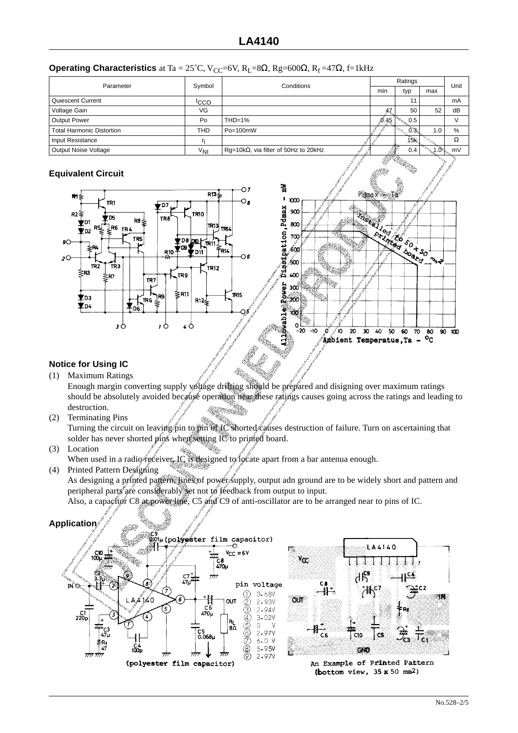|  | <b>Operating Characteristics</b> at Ta = 25°C, V <sub>CC</sub> =6V, R <sub>L</sub> =8 $\Omega$ , Rg=600 $\Omega$ , R <sub>f</sub> =47 $\Omega$ , f=1kHz |
|--|---------------------------------------------------------------------------------------------------------------------------------------------------------|
|--|---------------------------------------------------------------------------------------------------------------------------------------------------------|

| Parameter                        | Symbol           | Conditions                                    | Ratings              |                                                      |     | Unit |
|----------------------------------|------------------|-----------------------------------------------|----------------------|------------------------------------------------------|-----|------|
|                                  |                  |                                               | min                  | typ                                                  | max |      |
| Quiescent Current                | <sup>I</sup> CCO |                                               |                      |                                                      |     | mA   |
| Voltage Gain                     | VG               |                                               | 47                   | 50                                                   | 52  | dB   |
| <b>Output Power</b>              | Po               | $THD=1%$                                      | 0.45                 | $^{\mathrm{W}}\!\circ_{\mathrm{W}_{\mathrm{L}}} 0.5$ |     |      |
| <b>Total Harmonic Distortion</b> | <b>THD</b>       | Po=100mW                                      |                      | <b>Company</b><br>0.3.                               | 1.0 | %    |
| Input Resistance                 |                  |                                               |                      | 15k.,                                                |     | Ω    |
| Output Noise Voltage             | $V_{\rm NI}$     | Rg=10k $\Omega$ , via filter of 50Hz to 20kHz | and the state of the | 0.4                                                  |     | mV   |

### **Equivalent Circuit**



### **Notice for Using IC**

- (1) Maximum Ratings Enough margin converting supply voltage drifting should be prepared and disigning over maximum ratings should be absolutely avoided because operation near these ratings causes going across the ratings and leading to destruction.
- (2) Terminating Pins

Turning the circuit on leaving pin to pin of IC shorted causes destruction of failure. Turn on ascertaining that solder has never shorted pins when setting IC to printed board.

(3) Location

When used in a radio receiver, IC is designed to locate apart from a bar antenua enough. (4) Printed Pattern Designing

As designing a printed pattern, lines of power supply, output adn ground are to be widely short and pattern and peripheral parts are considerably set not to feedback from output to input.

Also, a capacitor C8 at power line, C5 and C9 of anti-oscillator are to be arranged near to pins of IC.

## **Application**

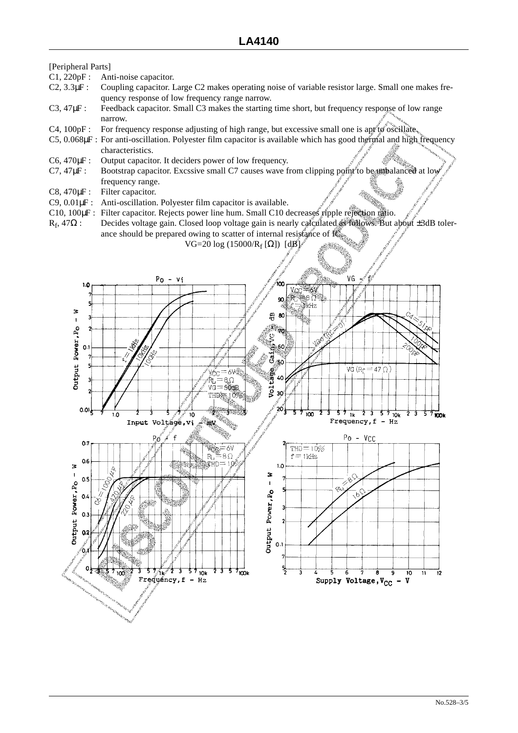[Peripheral Parts]

- C1, 220pF : Anti-noise capacitor.
- C2, 3.3µF : Coupling capacitor. Large C2 makes operating noise of variable resistor large. Small one makes frequency response of low frequency range narrow.
- C3, 47 $\mu$ F: Feedback capacitor. Small C3 makes the starting time short, but frequency response of low range narrow.
- C4, 100pF : For frequency response adjusting of high range, but excessive small one is apt to oscillate.
- C5, 0.068µF : For anti-oscillation. Polyester film capacitor is available which has good thermal and high frequency characteristics.
- C6, 470 $\mu$ F : Output capacitor. It deciders power of low frequency.
- C7, 47µF : Bootstrap capacitor. Excssive small C7 causes wave from clipping point to be unbalanced at low frequency range.
- C8, 470 $\mu$ F: Filter capacitor.
- C9, 0.01µF : Anti-oscillation. Polyester film capacitor is available.
- C10, 100µF : Filter capacitor. Rejects power line hum. Small C10 decreases ripple rejection ratio.
- R<sub>f</sub>, 47Ω : Decides voltage gain. Closed loop voltage gain is nearly calculated as follows. But about ±3dB tolerance should be prepared owing to scatter of internal resistance of  $\mathbb{R}^n$ .

VG=20 log (15000/R<sub>f</sub> [Ω]) [dB]

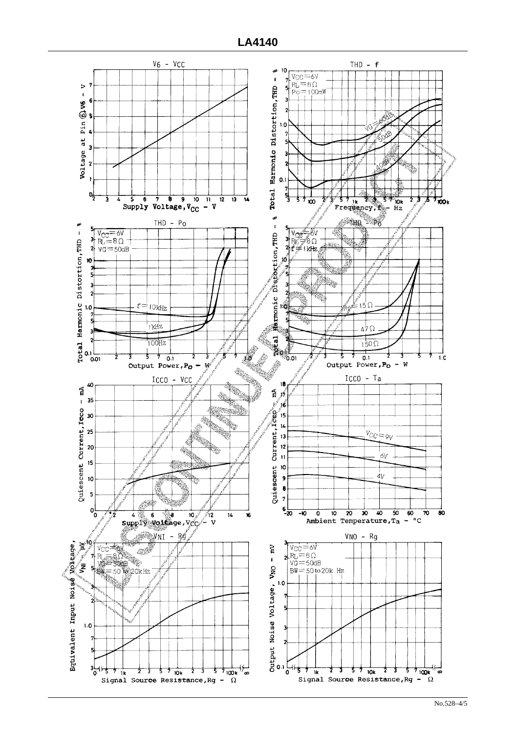